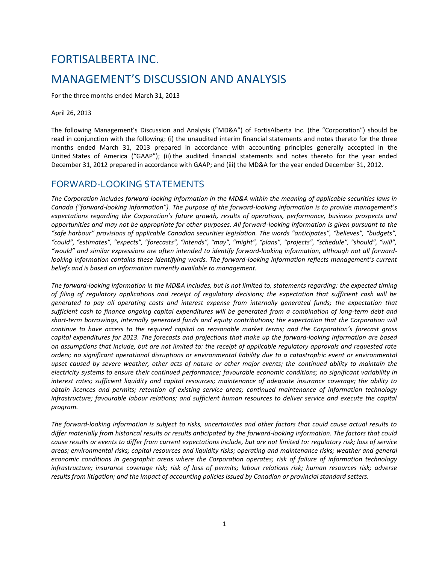# FORTISALBERTA INC. MANAGEMENT'S DISCUSSION AND ANALYSIS

For the three months ended March 31, 2013

April 26, 2013

The following Management's Discussion and Analysis ("MD&A") of FortisAlberta Inc. (the "Corporation") should be read in conjunction with the following: (i) the unaudited interim financial statements and notes thereto for the three months ended March 31, 2013 prepared in accordance with accounting principles generally accepted in the United States of America ("GAAP"); (ii) the audited financial statements and notes thereto for the year ended December 31, 2012 prepared in accordance with GAAP; and (iii) the MD&A for the year ended December 31, 2012.

# FORWARD-LOOKING STATEMENTS

The Corporation includes forward-looking information in the MD&A within the meaning of applicable securities laws in *Canada ("forward-looking information"). The purpose of the forward-looking information is to provide management's expectations regarding the Corporation's future growth, results of operations, performance, business prospects and opportunities and may not be appropriate for other purposes. All forward-looking information is given pursuant to the "safe harbour" provisions of applicable Canadian securities legislation. The words "anticipates", "believes", "budgets", "could", "estimates", "expects", "forecasts", "intends", "may", "might", "plans", "projects", "schedule", "should", "will", "would" and similar expressions are often intended to identify forward-looking information, although not all forwardlooking information contains these identifying words. The forward-looking information reflects management's current beliefs and is based on information currently available to management.*

*The forward-looking information in the MD&A includes, but is not limited to, statements regarding: the expected timing of filing of regulatory applications and receipt of regulatory decisions; the expectation that sufficient cash will be generated to pay all operating costs and interest expense from internally generated funds; the expectation that sufficient cash to finance ongoing capital expenditures will be generated from a combination of long-term debt and short-term borrowings, internally generated funds and equity contributions; the expectation that the Corporation will continue to have access to the required capital on reasonable market terms; and the Corporation's forecast gross capital expenditures for 2013. The forecasts and projections that make up the forward-looking information are based on assumptions that include, but are not limited to: the receipt of applicable regulatory approvals and requested rate orders; no significant operational disruptions or environmental liability due to a catastrophic event or environmental upset caused by severe weather, other acts of nature or other major events; the continued ability to maintain the electricity systems to ensure their continued performance; favourable economic conditions; no significant variability in interest rates; sufficient liquidity and capital resources; maintenance of adequate insurance coverage; the ability to obtain licences and permits; retention of existing service areas; continued maintenance of information technology infrastructure; favourable labour relations; and sufficient human resources to deliver service and execute the capital program.*

*The forward-looking information is subject to risks, uncertainties and other factors that could cause actual results to differ materially from historical results or results anticipated by the forward-looking information. The factors that could cause results or events to differ from current expectations include, but are not limited to: regulatory risk; loss of service areas; environmental risks; capital resources and liquidity risks; operating and maintenance risks; weather and general economic conditions in geographic areas where the Corporation operates; risk of failure of information technology infrastructure; insurance coverage risk; risk of loss of permits; labour relations risk; human resources risk; adverse results from litigation; and the impact of accounting policies issued by Canadian or provincial standard setters.*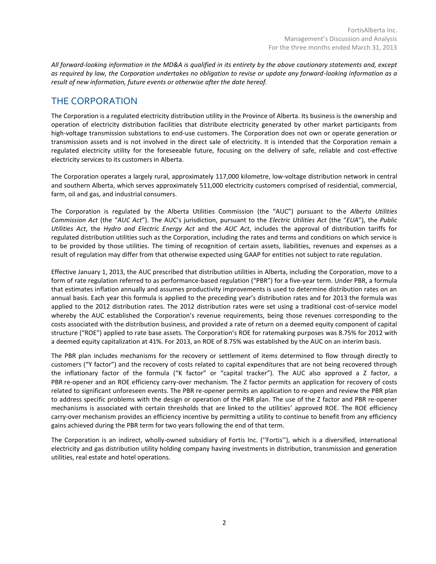*All forward-looking information in the MD&A is qualified in its entirety by the above cautionary statements and, except as required by law, the Corporation undertakes no obligation to revise or update any forward-looking information as a result of new information, future events or otherwise after the date hereof.*

# THE CORPORATION

The Corporation is a regulated electricity distribution utility in the Province of Alberta. Its business is the ownership and operation of electricity distribution facilities that distribute electricity generated by other market participants from high-voltage transmission substations to end-use customers. The Corporation does not own or operate generation or transmission assets and is not involved in the direct sale of electricity. It is intended that the Corporation remain a regulated electricity utility for the foreseeable future, focusing on the delivery of safe, reliable and cost-effective electricity services to its customers in Alberta.

The Corporation operates a largely rural, approximately 117,000 kilometre, low-voltage distribution network in central and southern Alberta, which serves approximately 511,000 electricity customers comprised of residential, commercial, farm, oil and gas, and industrial consumers.

The Corporation is regulated by the Alberta Utilities Commission (the "AUC") pursuant to the *Alberta Utilities Commission Act* (the "*AUC Act*"). The AUC's jurisdiction, pursuant to the *Electric Utilities Act* (the "*EUA*"), the *Public Utilities Act*, the *Hydro and Electric Energy Act* and the *AUC Act*, includes the approval of distribution tariffs for regulated distribution utilities such as the Corporation, including the rates and terms and conditions on which service is to be provided by those utilities. The timing of recognition of certain assets, liabilities, revenues and expenses as a result of regulation may differ from that otherwise expected using GAAP for entities not subject to rate regulation.

Effective January 1, 2013, the AUC prescribed that distribution utilities in Alberta, including the Corporation, move to a form of rate regulation referred to as performance-based regulation ("PBR") for a five-year term. Under PBR, a formula that estimates inflation annually and assumes productivity improvements is used to determine distribution rates on an annual basis. Each year this formula is applied to the preceding year's distribution rates and for 2013 the formula was applied to the 2012 distribution rates. The 2012 distribution rates were set using a traditional cost-of-service model whereby the AUC established the Corporation's revenue requirements, being those revenues corresponding to the costs associated with the distribution business, and provided a rate of return on a deemed equity component of capital structure ("ROE") applied to rate base assets. The Corporation's ROE for ratemaking purposes was 8.75% for 2012 with a deemed equity capitalization at 41%. For 2013, an ROE of 8.75% was established by the AUC on an interim basis.

The PBR plan includes mechanisms for the recovery or settlement of items determined to flow through directly to customers ("Y factor") and the recovery of costs related to capital expenditures that are not being recovered through the inflationary factor of the formula ("K factor" or "capital tracker"). The AUC also approved a Z factor, a PBR re-opener and an ROE efficiency carry-over mechanism. The Z factor permits an application for recovery of costs related to significant unforeseen events. The PBR re-opener permits an application to re-open and review the PBR plan to address specific problems with the design or operation of the PBR plan. The use of the Z factor and PBR re-opener mechanisms is associated with certain thresholds that are linked to the utilities' approved ROE. The ROE efficiency carry-over mechanism provides an efficiency incentive by permitting a utility to continue to benefit from any efficiency gains achieved during the PBR term for two years following the end of that term.

The Corporation is an indirect, wholly-owned subsidiary of Fortis Inc. (''Fortis''), which is a diversified, international electricity and gas distribution utility holding company having investments in distribution, transmission and generation utilities, real estate and hotel operations.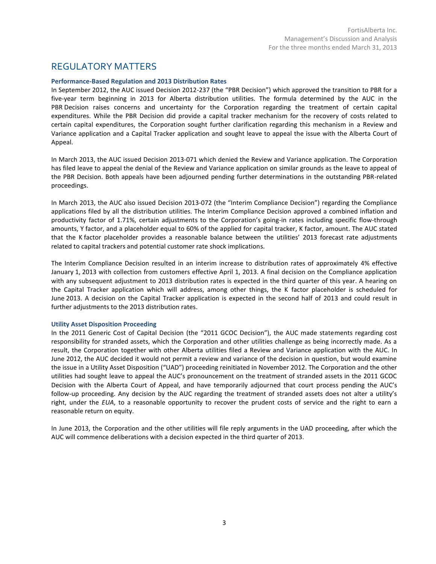# REGULATORY MATTERS

#### **Performance-Based Regulation and 2013 Distribution Rates**

In September 2012, the AUC issued Decision 2012-237 (the "PBR Decision") which approved the transition to PBR for a five-year term beginning in 2013 for Alberta distribution utilities. The formula determined by the AUC in the PBR Decision raises concerns and uncertainty for the Corporation regarding the treatment of certain capital expenditures. While the PBR Decision did provide a capital tracker mechanism for the recovery of costs related to certain capital expenditures, the Corporation sought further clarification regarding this mechanism in a Review and Variance application and a Capital Tracker application and sought leave to appeal the issue with the Alberta Court of Appeal.

In March 2013, the AUC issued Decision 2013-071 which denied the Review and Variance application. The Corporation has filed leave to appeal the denial of the Review and Variance application on similar grounds as the leave to appeal of the PBR Decision. Both appeals have been adjourned pending further determinations in the outstanding PBR-related proceedings.

In March 2013, the AUC also issued Decision 2013-072 (the "Interim Compliance Decision") regarding the Compliance applications filed by all the distribution utilities. The Interim Compliance Decision approved a combined inflation and productivity factor of 1.71%, certain adjustments to the Corporation's going-in rates including specific flow-through amounts, Y factor, and a placeholder equal to 60% of the applied for capital tracker, K factor, amount. The AUC stated that the K factor placeholder provides a reasonable balance between the utilities' 2013 forecast rate adjustments related to capital trackers and potential customer rate shock implications.

The Interim Compliance Decision resulted in an interim increase to distribution rates of approximately 4% effective January 1, 2013 with collection from customers effective April 1, 2013. A final decision on the Compliance application with any subsequent adjustment to 2013 distribution rates is expected in the third quarter of this year. A hearing on the Capital Tracker application which will address, among other things, the K factor placeholder is scheduled for June 2013. A decision on the Capital Tracker application is expected in the second half of 2013 and could result in further adjustments to the 2013 distribution rates.

#### **Utility Asset Disposition Proceeding**

In the 2011 Generic Cost of Capital Decision (the "2011 GCOC Decision"), the AUC made statements regarding cost responsibility for stranded assets, which the Corporation and other utilities challenge as being incorrectly made. As a result, the Corporation together with other Alberta utilities filed a Review and Variance application with the AUC. In June 2012, the AUC decided it would not permit a review and variance of the decision in question, but would examine the issue in a Utility Asset Disposition ("UAD") proceeding reinitiated in November 2012. The Corporation and the other utilities had sought leave to appeal the AUC's pronouncement on the treatment of stranded assets in the 2011 GCOC Decision with the Alberta Court of Appeal, and have temporarily adjourned that court process pending the AUC's follow-up proceeding. Any decision by the AUC regarding the treatment of stranded assets does not alter a utility's right, under the *EUA*, to a reasonable opportunity to recover the prudent costs of service and the right to earn a reasonable return on equity.

In June 2013, the Corporation and the other utilities will file reply arguments in the UAD proceeding, after which the AUC will commence deliberations with a decision expected in the third quarter of 2013.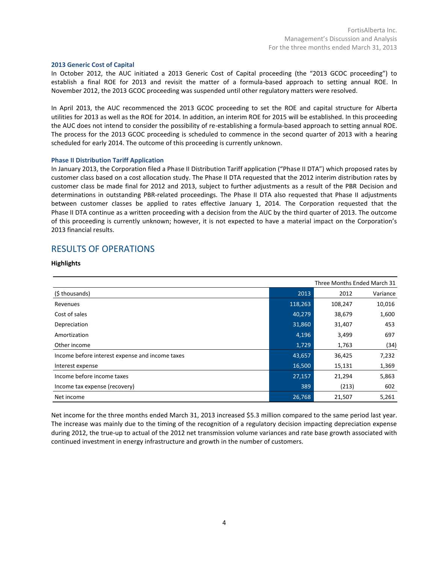#### **2013 Generic Cost of Capital**

In October 2012, the AUC initiated a 2013 Generic Cost of Capital proceeding (the "2013 GCOC proceeding") to establish a final ROE for 2013 and revisit the matter of a formula-based approach to setting annual ROE. In November 2012, the 2013 GCOC proceeding was suspended until other regulatory matters were resolved.

In April 2013, the AUC recommenced the 2013 GCOC proceeding to set the ROE and capital structure for Alberta utilities for 2013 as well as the ROE for 2014. In addition, an interim ROE for 2015 will be established. In this proceeding the AUC does not intend to consider the possibility of re-establishing a formula-based approach to setting annual ROE. The process for the 2013 GCOC proceeding is scheduled to commence in the second quarter of 2013 with a hearing scheduled for early 2014. The outcome of this proceeding is currently unknown.

#### **Phase II Distribution Tariff Application**

In January 2013, the Corporation filed a Phase II Distribution Tariff application ("Phase II DTA") which proposed rates by customer class based on a cost allocation study. The Phase II DTA requested that the 2012 interim distribution rates by customer class be made final for 2012 and 2013, subject to further adjustments as a result of the PBR Decision and determinations in outstanding PBR-related proceedings. The Phase II DTA also requested that Phase II adjustments between customer classes be applied to rates effective January 1, 2014. The Corporation requested that the Phase II DTA continue as a written proceeding with a decision from the AUC by the third quarter of 2013. The outcome of this proceeding is currently unknown; however, it is not expected to have a material impact on the Corporation's 2013 financial results.

### RESULTS OF OPERATIONS

#### **Highlights**

| Three Months Ended March 31                     |         |         |          |
|-------------------------------------------------|---------|---------|----------|
| (\$ thousands)                                  | 2013    | 2012    | Variance |
| Revenues                                        | 118,263 | 108,247 | 10,016   |
| Cost of sales                                   | 40,279  | 38,679  | 1,600    |
| Depreciation                                    | 31,860  | 31,407  | 453      |
| Amortization                                    | 4,196   | 3,499   | 697      |
| Other income                                    | 1,729   | 1,763   | (34)     |
| Income before interest expense and income taxes | 43,657  | 36,425  | 7,232    |
| Interest expense                                | 16,500  | 15,131  | 1,369    |
| Income before income taxes                      | 27,157  | 21,294  | 5,863    |
| Income tax expense (recovery)                   | 389     | (213)   | 602      |
| Net income                                      | 26,768  | 21,507  | 5,261    |

Net income for the three months ended March 31, 2013 increased \$5.3 million compared to the same period last year. The increase was mainly due to the timing of the recognition of a regulatory decision impacting depreciation expense during 2012, the true-up to actual of the 2012 net transmission volume variances and rate base growth associated with continued investment in energy infrastructure and growth in the number of customers.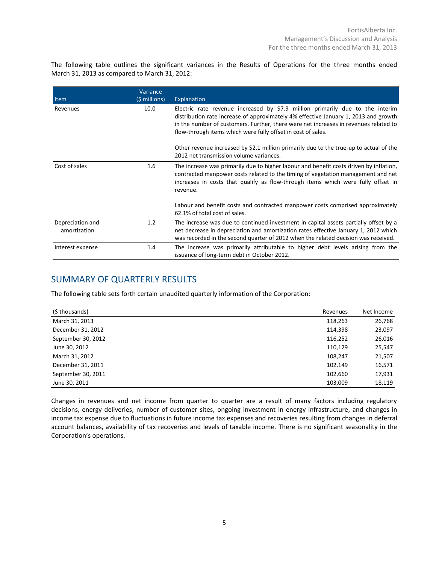The following table outlines the significant variances in the Results of Operations for the three months ended March 31, 2013 as compared to March 31, 2012:

| Item                             | Variance<br>$(\frac{1}{2} millions)$ | Explanation                                                                                                                                                                                                                                                                                                                  |
|----------------------------------|--------------------------------------|------------------------------------------------------------------------------------------------------------------------------------------------------------------------------------------------------------------------------------------------------------------------------------------------------------------------------|
| Revenues                         | 10.0                                 | Electric rate revenue increased by \$7.9 million primarily due to the interim<br>distribution rate increase of approximately 4% effective January 1, 2013 and growth<br>in the number of customers. Further, there were net increases in revenues related to<br>flow-through items which were fully offset in cost of sales. |
|                                  |                                      | Other revenue increased by \$2.1 million primarily due to the true-up to actual of the<br>2012 net transmission volume variances.                                                                                                                                                                                            |
| Cost of sales                    | 1.6                                  | The increase was primarily due to higher labour and benefit costs driven by inflation,<br>contracted manpower costs related to the timing of vegetation management and net<br>increases in costs that qualify as flow-through items which were fully offset in<br>revenue.                                                   |
|                                  |                                      | Labour and benefit costs and contracted manpower costs comprised approximately<br>62.1% of total cost of sales.                                                                                                                                                                                                              |
| Depreciation and<br>amortization | 1.2                                  | The increase was due to continued investment in capital assets partially offset by a<br>net decrease in depreciation and amortization rates effective January 1, 2012 which<br>was recorded in the second quarter of 2012 when the related decision was received.                                                            |
| Interest expense                 | 1.4                                  | The increase was primarily attributable to higher debt levels arising from the<br>issuance of long-term debt in October 2012.                                                                                                                                                                                                |

# SUMMARY OF QUARTERLY RESULTS

The following table sets forth certain unaudited quarterly information of the Corporation:

| (\$ thousands)     | Revenues | Net Income |
|--------------------|----------|------------|
| March 31, 2013     | 118,263  | 26,768     |
| December 31, 2012  | 114,398  | 23,097     |
| September 30, 2012 | 116,252  | 26,016     |
| June 30, 2012      | 110,129  | 25,547     |
| March 31, 2012     | 108,247  | 21,507     |
| December 31, 2011  | 102,149  | 16,571     |
| September 30, 2011 | 102,660  | 17,931     |
| June 30, 2011      | 103,009  | 18,119     |

Changes in revenues and net income from quarter to quarter are a result of many factors including regulatory decisions, energy deliveries, number of customer sites, ongoing investment in energy infrastructure, and changes in income tax expense due to fluctuations in future income tax expenses and recoveries resulting from changes in deferral account balances, availability of tax recoveries and levels of taxable income. There is no significant seasonality in the Corporation's operations.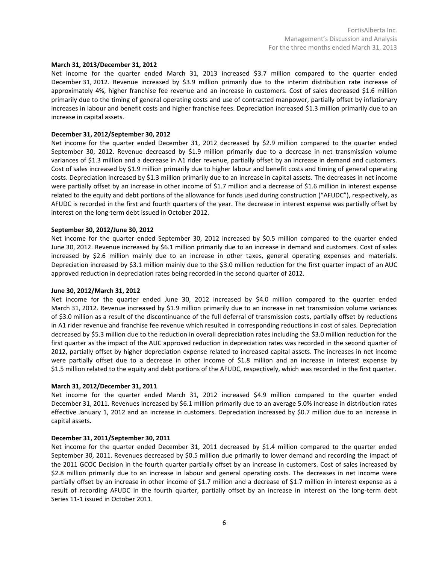#### **March 31, 2013/December 31, 2012**

Net income for the quarter ended March 31, 2013 increased \$3.7 million compared to the quarter ended December 31, 2012. Revenue increased by \$3.9 million primarily due to the interim distribution rate increase of approximately 4%, higher franchise fee revenue and an increase in customers. Cost of sales decreased \$1.6 million primarily due to the timing of general operating costs and use of contracted manpower, partially offset by inflationary increases in labour and benefit costs and higher franchise fees. Depreciation increased \$1.3 million primarily due to an increase in capital assets.

#### **December 31, 2012/September 30, 2012**

Net income for the quarter ended December 31, 2012 decreased by \$2.9 million compared to the quarter ended September 30, 2012. Revenue decreased by \$1.9 million primarily due to a decrease in net transmission volume variances of \$1.3 million and a decrease in A1 rider revenue, partially offset by an increase in demand and customers. Cost of sales increased by \$1.9 million primarily due to higher labour and benefit costs and timing of general operating costs. Depreciation increased by \$1.3 million primarily due to an increase in capital assets. The decreases in net income were partially offset by an increase in other income of \$1.7 million and a decrease of \$1.6 million in interest expense related to the equity and debt portions of the allowance for funds used during construction ("AFUDC"), respectively, as AFUDC is recorded in the first and fourth quarters of the year. The decrease in interest expense was partially offset by interest on the long-term debt issued in October 2012.

#### **September 30, 2012/June 30, 2012**

Net income for the quarter ended September 30, 2012 increased by \$0.5 million compared to the quarter ended June 30, 2012. Revenue increased by \$6.1 million primarily due to an increase in demand and customers. Cost of sales increased by \$2.6 million mainly due to an increase in other taxes, general operating expenses and materials. Depreciation increased by \$3.1 million mainly due to the \$3.0 million reduction for the first quarter impact of an AUC approved reduction in depreciation rates being recorded in the second quarter of 2012.

#### **June 30, 2012/March 31, 2012**

Net income for the quarter ended June 30, 2012 increased by \$4.0 million compared to the quarter ended March 31, 2012. Revenue increased by \$1.9 million primarily due to an increase in net transmission volume variances of \$3.0 million as a result of the discontinuance of the full deferral of transmission costs, partially offset by reductions in A1 rider revenue and franchise fee revenue which resulted in corresponding reductions in cost of sales. Depreciation decreased by \$5.3 million due to the reduction in overall depreciation rates including the \$3.0 million reduction for the first quarter as the impact of the AUC approved reduction in depreciation rates was recorded in the second quarter of 2012, partially offset by higher depreciation expense related to increased capital assets. The increases in net income were partially offset due to a decrease in other income of \$1.8 million and an increase in interest expense by \$1.5 million related to the equity and debt portions of the AFUDC, respectively, which was recorded in the first quarter.

#### **March 31, 2012/December 31, 2011**

Net income for the quarter ended March 31, 2012 increased \$4.9 million compared to the quarter ended December 31, 2011. Revenues increased by \$6.1 million primarily due to an average 5.0% increase in distribution rates effective January 1, 2012 and an increase in customers. Depreciation increased by \$0.7 million due to an increase in capital assets.

#### **December 31, 2011/September 30, 2011**

Net income for the quarter ended December 31, 2011 decreased by \$1.4 million compared to the quarter ended September 30, 2011. Revenues decreased by \$0.5 million due primarily to lower demand and recording the impact of the 2011 GCOC Decision in the fourth quarter partially offset by an increase in customers. Cost of sales increased by \$2.8 million primarily due to an increase in labour and general operating costs. The decreases in net income were partially offset by an increase in other income of \$1.7 million and a decrease of \$1.7 million in interest expense as a result of recording AFUDC in the fourth quarter, partially offset by an increase in interest on the long-term debt Series 11-1 issued in October 2011.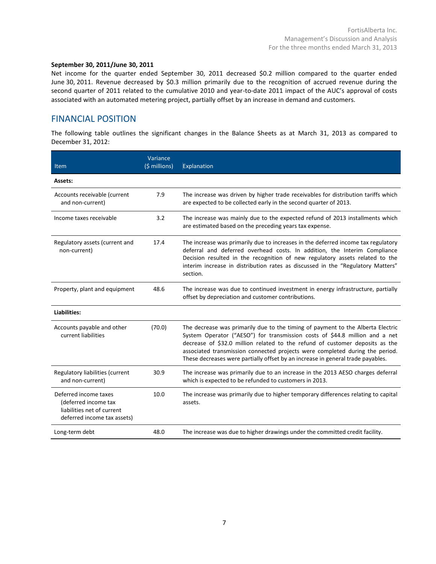#### **September 30, 2011/June 30, 2011**

Net income for the quarter ended September 30, 2011 decreased \$0.2 million compared to the quarter ended June 30, 2011. Revenue decreased by \$0.3 million primarily due to the recognition of accrued revenue during the second quarter of 2011 related to the cumulative 2010 and year-to-date 2011 impact of the AUC's approval of costs associated with an automated metering project, partially offset by an increase in demand and customers.

### FINANCIAL POSITION

The following table outlines the significant changes in the Balance Sheets as at March 31, 2013 as compared to December 31, 2012:

| <b>Item</b>                                                                                                | Variance<br>$(5$ millions) | Explanation                                                                                                                                                                                                                                                                                                                                                                                                       |
|------------------------------------------------------------------------------------------------------------|----------------------------|-------------------------------------------------------------------------------------------------------------------------------------------------------------------------------------------------------------------------------------------------------------------------------------------------------------------------------------------------------------------------------------------------------------------|
| Assets:                                                                                                    |                            |                                                                                                                                                                                                                                                                                                                                                                                                                   |
| Accounts receivable (current<br>and non-current)                                                           | 7.9                        | The increase was driven by higher trade receivables for distribution tariffs which<br>are expected to be collected early in the second quarter of 2013.                                                                                                                                                                                                                                                           |
| Income taxes receivable                                                                                    | 3.2                        | The increase was mainly due to the expected refund of 2013 installments which<br>are estimated based on the preceding years tax expense.                                                                                                                                                                                                                                                                          |
| Regulatory assets (current and<br>non-current)                                                             | 17.4                       | The increase was primarily due to increases in the deferred income tax regulatory<br>deferral and deferred overhead costs. In addition, the Interim Compliance<br>Decision resulted in the recognition of new regulatory assets related to the<br>interim increase in distribution rates as discussed in the "Regulatory Matters"<br>section.                                                                     |
| Property, plant and equipment                                                                              | 48.6                       | The increase was due to continued investment in energy infrastructure, partially<br>offset by depreciation and customer contributions.                                                                                                                                                                                                                                                                            |
| Liabilities:                                                                                               |                            |                                                                                                                                                                                                                                                                                                                                                                                                                   |
| Accounts payable and other<br>current liabilities                                                          | (70.0)                     | The decrease was primarily due to the timing of payment to the Alberta Electric<br>System Operator ("AESO") for transmission costs of \$44.8 million and a net<br>decrease of \$32.0 million related to the refund of customer deposits as the<br>associated transmission connected projects were completed during the period.<br>These decreases were partially offset by an increase in general trade payables. |
| Regulatory liabilities (current<br>and non-current)                                                        | 30.9                       | The increase was primarily due to an increase in the 2013 AESO charges deferral<br>which is expected to be refunded to customers in 2013.                                                                                                                                                                                                                                                                         |
| Deferred income taxes<br>(deferred income tax<br>liabilities net of current<br>deferred income tax assets) | 10.0                       | The increase was primarily due to higher temporary differences relating to capital<br>assets.                                                                                                                                                                                                                                                                                                                     |
| Long-term debt                                                                                             | 48.0                       | The increase was due to higher drawings under the committed credit facility.                                                                                                                                                                                                                                                                                                                                      |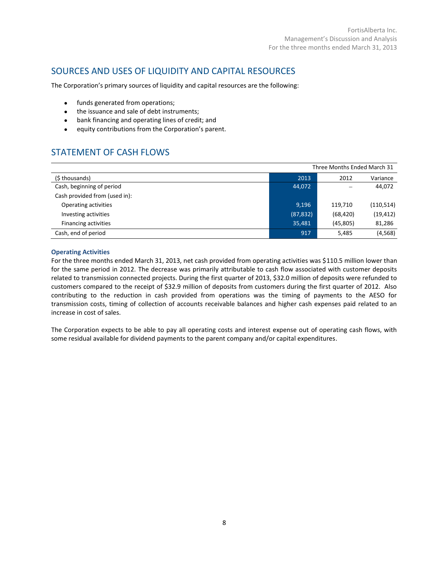## SOURCES AND USES OF LIQUIDITY AND CAPITAL RESOURCES

The Corporation's primary sources of liquidity and capital resources are the following:

- funds generated from operations;
- the issuance and sale of debt instruments;
- bank financing and operating lines of credit; and
- equity contributions from the Corporation's parent.

# STATEMENT OF CASH FLOWS

| Three Months Ended March 31   |           |           |            |
|-------------------------------|-----------|-----------|------------|
| (\$ thousands)                | 2013      | 2012      | Variance   |
| Cash, beginning of period     | 44,072    |           | 44,072     |
| Cash provided from (used in): |           |           |            |
| Operating activities          | 9,196     | 119.710   | (110, 514) |
| Investing activities          | (87, 832) | (68, 420) | (19, 412)  |
| Financing activities          | 35,481    | (45,805)  | 81,286     |
| Cash, end of period           | 917       | 5.485     | (4, 568)   |

#### **Operating Activities**

For the three months ended March 31, 2013, net cash provided from operating activities was \$110.5 million lower than for the same period in 2012. The decrease was primarily attributable to cash flow associated with customer deposits related to transmission connected projects. During the first quarter of 2013, \$32.0 million of deposits were refunded to customers compared to the receipt of \$32.9 million of deposits from customers during the first quarter of 2012. Also contributing to the reduction in cash provided from operations was the timing of payments to the AESO for transmission costs, timing of collection of accounts receivable balances and higher cash expenses paid related to an increase in cost of sales.

The Corporation expects to be able to pay all operating costs and interest expense out of operating cash flows, with some residual available for dividend payments to the parent company and/or capital expenditures.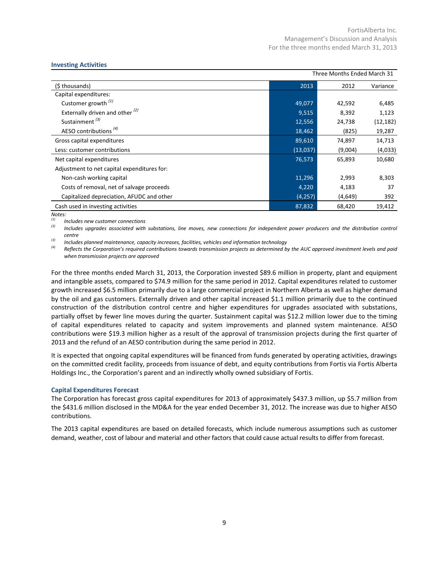#### **Investing Activities**

| Three Months Ended March 31                 |          |         |           |
|---------------------------------------------|----------|---------|-----------|
| (\$ thousands)                              | 2013     | 2012    | Variance  |
| Capital expenditures:                       |          |         |           |
| Customer growth $(1)$                       | 49,077   | 42,592  | 6,485     |
| Externally driven and other $(2)$           | 9,515    | 8,392   | 1,123     |
| Sustainment <sup>(3)</sup>                  | 12,556   | 24,738  | (12, 182) |
| AESO contributions <sup>(4)</sup>           | 18,462   | (825)   | 19,287    |
| Gross capital expenditures                  | 89,610   | 74,897  | 14,713    |
| Less: customer contributions                | (13,037) | (9,004) | (4,033)   |
| Net capital expenditures                    | 76,573   | 65,893  | 10,680    |
| Adjustment to net capital expenditures for: |          |         |           |
| Non-cash working capital                    | 11,296   | 2,993   | 8,303     |
| Costs of removal, net of salvage proceeds   | 4,220    | 4,183   | 37        |
| Capitalized depreciation, AFUDC and other   | (4, 257) | (4,649) | 392       |
| Cash used in investing activities           | 87,832   | 68,420  | 19,412    |

*Notes:*

*(1) Includes new customer connections*

*(2) Includes upgrades associated with substations, line moves, new connections for independent power producers and the distribution control centre*

*(3) Includes planned maintenance, capacity increases, facilities, vehicles and information technology*

*(4) Reflects the Corporation's required contributions towards transmission projects as determined by the AUC approved investment levels and paid when transmission projects are approved*

For the three months ended March 31, 2013, the Corporation invested \$89.6 million in property, plant and equipment and intangible assets, compared to \$74.9 million for the same period in 2012. Capital expenditures related to customer growth increased \$6.5 million primarily due to a large commercial project in Northern Alberta as well as higher demand by the oil and gas customers. Externally driven and other capital increased \$1.1 million primarily due to the continued construction of the distribution control centre and higher expenditures for upgrades associated with substations, partially offset by fewer line moves during the quarter. Sustainment capital was \$12.2 million lower due to the timing of capital expenditures related to capacity and system improvements and planned system maintenance. AESO contributions were \$19.3 million higher as a result of the approval of transmission projects during the first quarter of 2013 and the refund of an AESO contribution during the same period in 2012.

It is expected that ongoing capital expenditures will be financed from funds generated by operating activities, drawings on the committed credit facility, proceeds from issuance of debt, and equity contributions from Fortis via Fortis Alberta Holdings Inc., the Corporation's parent and an indirectly wholly owned subsidiary of Fortis.

#### **Capital Expenditures Forecast**

The Corporation has forecast gross capital expenditures for 2013 of approximately \$437.3 million, up \$5.7 million from the \$431.6 million disclosed in the MD&A for the year ended December 31, 2012. The increase was due to higher AESO contributions.

The 2013 capital expenditures are based on detailed forecasts, which include numerous assumptions such as customer demand, weather, cost of labour and material and other factors that could cause actual results to differ from forecast.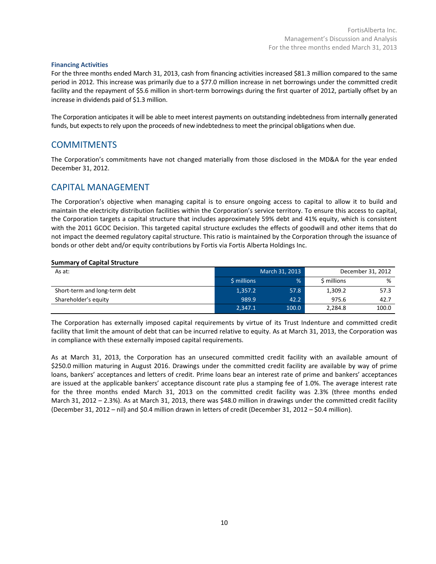#### **Financing Activities**

For the three months ended March 31, 2013, cash from financing activities increased \$81.3 million compared to the same period in 2012. This increase was primarily due to a \$77.0 million increase in net borrowings under the committed credit facility and the repayment of \$5.6 million in short-term borrowings during the first quarter of 2012, partially offset by an increase in dividends paid of \$1.3 million.

The Corporation anticipates it will be able to meet interest payments on outstanding indebtedness from internally generated funds, but expects to rely upon the proceeds of new indebtedness to meet the principal obligations when due.

## **COMMITMENTS**

The Corporation's commitments have not changed materially from those disclosed in the MD&A for the year ended December 31, 2012.

### CAPITAL MANAGEMENT

The Corporation's objective when managing capital is to ensure ongoing access to capital to allow it to build and maintain the electricity distribution facilities within the Corporation's service territory. To ensure this access to capital, the Corporation targets a capital structure that includes approximately 59% debt and 41% equity, which is consistent with the 2011 GCOC Decision. This targeted capital structure excludes the effects of goodwill and other items that do not impact the deemed regulatory capital structure. This ratio is maintained by the Corporation through the issuance of bonds or other debt and/or equity contributions by Fortis via Fortis Alberta Holdings Inc.

#### **Summary of Capital Structure**

| As at:                        | March 31, 2013 |               |             | December 31, 2012 |
|-------------------------------|----------------|---------------|-------------|-------------------|
|                               | \$ millions    | $\frac{9}{6}$ | \$ millions | %                 |
| Short-term and long-term debt | 1,357.2        | 57.8          | 1,309.2     | 57.3              |
| Shareholder's equity          | 989.9          | 42.2          | 975.6       | 42.7              |
|                               | 2.347.1        | 100.0         | 2.284.8     | 100.0             |

The Corporation has externally imposed capital requirements by virtue of its Trust Indenture and committed credit facility that limit the amount of debt that can be incurred relative to equity. As at March 31, 2013, the Corporation was in compliance with these externally imposed capital requirements.

As at March 31, 2013, the Corporation has an unsecured committed credit facility with an available amount of \$250.0 million maturing in August 2016. Drawings under the committed credit facility are available by way of prime loans, bankers' acceptances and letters of credit. Prime loans bear an interest rate of prime and bankers' acceptances are issued at the applicable bankers' acceptance discount rate plus a stamping fee of 1.0%. The average interest rate for the three months ended March 31, 2013 on the committed credit facility was 2.3% (three months ended March 31, 2012 – 2.3%). As at March 31, 2013, there was \$48.0 million in drawings under the committed credit facility (December 31, 2012 – nil) and \$0.4 million drawn in letters of credit (December 31, 2012 – \$0.4 million).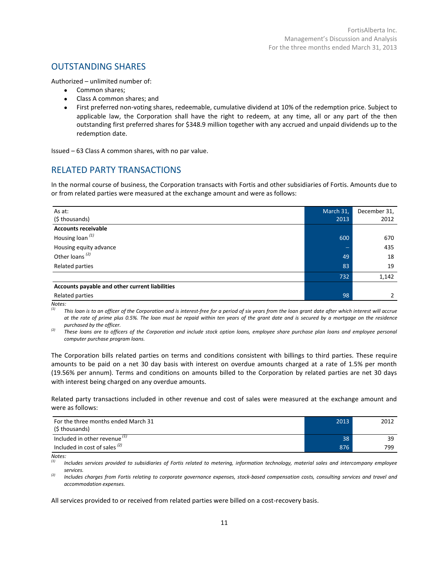# OUTSTANDING SHARES

Authorized – unlimited number of:

- Common shares;
- Class A common shares; and
- First preferred non-voting shares, redeemable, cumulative dividend at 10% of the redemption price. Subject to applicable law, the Corporation shall have the right to redeem, at any time, all or any part of the then outstanding first preferred shares for \$348.9 million together with any accrued and unpaid dividends up to the redemption date.

Issued – 63 Class A common shares, with no par value.

# RELATED PARTY TRANSACTIONS

In the normal course of business, the Corporation transacts with Fortis and other subsidiaries of Fortis. Amounts due to or from related parties were measured at the exchange amount and were as follows:

| As at:                                         | March 31, | December 31,  |
|------------------------------------------------|-----------|---------------|
| (\$ thousands)                                 | 2013      | 2012          |
| <b>Accounts receivable</b>                     |           |               |
| Housing loan <sup>(1)</sup>                    | 600       | 670           |
| Housing equity advance                         |           | 435           |
| Other loans <sup>(2)</sup>                     | 49        | 18            |
| Related parties                                | 83        | 19            |
|                                                | 732       | 1,142         |
| Accounts payable and other current liabilities |           |               |
| Related parties                                | 98        | $\mathcal{P}$ |

*Notes:*

*(1) This loan is to an officer of the Corporation and is interest-free for a period of six years from the loan grant date after which interest will accrue at the rate of prime plus 0.5%. The loan must be repaid within ten years of the grant date and is secured by a mortgage on the residence purchased by the officer.*

*(2) These loans are to officers of the Corporation and include stock option loans, employee share purchase plan loans and employee personal computer purchase program loans.*

The Corporation bills related parties on terms and conditions consistent with billings to third parties. These require amounts to be paid on a net 30 day basis with interest on overdue amounts charged at a rate of 1.5% per month (19.56% per annum). Terms and conditions on amounts billed to the Corporation by related parties are net 30 days with interest being charged on any overdue amounts.

Related party transactions included in other revenue and cost of sales were measured at the exchange amount and were as follows:

| For the three months ended March 31<br>(\$ thousands) | 2013 | 2012 |
|-------------------------------------------------------|------|------|
| Included in other revenue <sup>(1)</sup>              | 38   | 39   |
| Included in cost of sales $(2)$                       | 876  | 799  |

*Notes:*

*(1) Includes services provided to subsidiaries of Fortis related to metering, information technology, material sales and intercompany employee services.*

*(2) Includes charges from Fortis relating to corporate governance expenses, stock-based compensation costs, consulting services and travel and accommodation expenses.*

All services provided to or received from related parties were billed on a cost-recovery basis.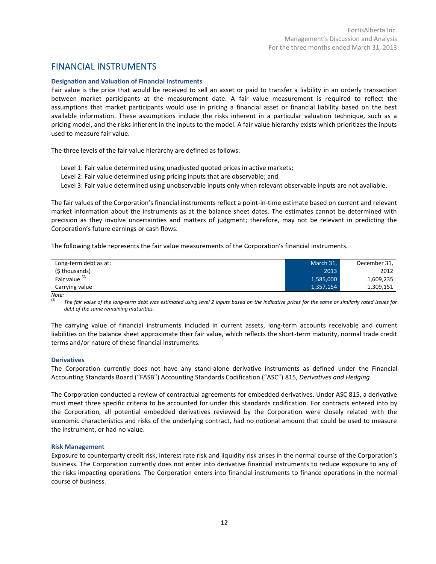### FINANCIAL INSTRUMENTS

#### **Designation and Valuation of Financial Instruments**

Fair value is the price that would be received to sell an asset or paid to transfer a liability in an orderly transaction between market participants at the measurement date. A fair value measurement is required to reflect the assumptions that market participants would use in pricing a financial asset or financial liability based on the best available information. These assumptions include the risks inherent in a particular valuation technique, such as a pricing model, and the risks inherent in the inputs to the model. A fair value hierarchy exists which prioritizes the inputs used to measure fair value.

The three levels of the fair value hierarchy are defined as follows:

- Level 1: Fair value determined using unadjusted quoted prices in active markets;
- Level 2: Fair value determined using pricing inputs that are observable; and
- Level 3: Fair value determined using unobservable inputs only when relevant observable inputs are not available.

The fair values of the Corporation's financial instruments reflect a point-in-time estimate based on current and relevant market information about the instruments as at the balance sheet dates. The estimates cannot be determined with precision as they involve uncertainties and matters of judgment; therefore, may not be relevant in predicting the Corporation's future earnings or cash flows.

The following table represents the fair value measurements of the Corporation's financial instruments.

| Long-term debt as at:     | March 31, | December 31, |
|---------------------------|-----------|--------------|
| (\$ thousands)            | 2013      | 2012         |
| Fair value <sup>(1)</sup> | 1,585,000 | 1,609,235    |
| Carrying value            | 1,357,154 | 1,309,151    |

*Note:*

*(1) The fair value of the long-term debt was estimated using level 2 inputs based on the indicative prices for the same or similarly rated issues for debt of the same remaining maturities.* 

The carrying value of financial instruments included in current assets, long-term accounts receivable and current liabilities on the balance sheet approximate their fair value, which reflects the short-term maturity, normal trade credit terms and/or nature of these financial instruments.

#### **Derivatives**

The Corporation currently does not have any stand-alone derivative instruments as defined under the Financial Accounting Standards Board ("FASB") Accounting Standards Codification ("ASC") 815, *Derivatives and Hedging*.

The Corporation conducted a review of contractual agreements for embedded derivatives. Under ASC 815, a derivative must meet three specific criteria to be accounted for under this standards codification. For contracts entered into by the Corporation, all potential embedded derivatives reviewed by the Corporation were closely related with the economic characteristics and risks of the underlying contract, had no notional amount that could be used to measure the instrument, or had no value.

#### **Risk Management**

Exposure to counterparty credit risk, interest rate risk and liquidity risk arises in the normal course of the Corporation's business. The Corporation currently does not enter into derivative financial instruments to reduce exposure to any of the risks impacting operations. The Corporation enters into financial instruments to finance operations in the normal course of business.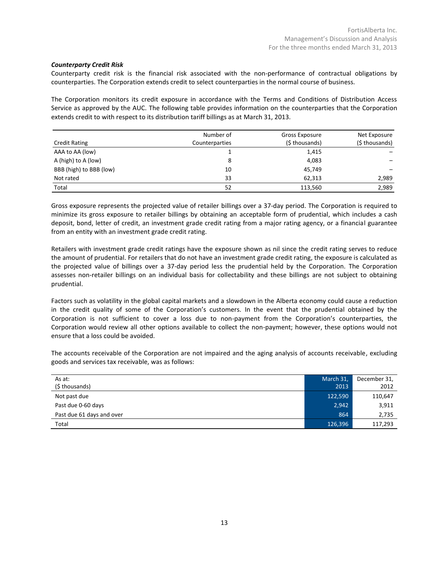#### *Counterparty Credit Risk*

Counterparty credit risk is the financial risk associated with the non-performance of contractual obligations by counterparties. The Corporation extends credit to select counterparties in the normal course of business.

The Corporation monitors its credit exposure in accordance with the Terms and Conditions of Distribution Access Service as approved by the AUC. The following table provides information on the counterparties that the Corporation extends credit to with respect to its distribution tariff billings as at March 31, 2013.

| <b>Credit Rating</b>    | Number of<br>Counterparties | Gross Exposure<br>(\$ thousands) | Net Exposure<br>(\$ thousands) |
|-------------------------|-----------------------------|----------------------------------|--------------------------------|
| AAA to AA (low)         |                             | 1,415                            |                                |
| A (high) to A (low)     | 8                           | 4,083                            |                                |
| BBB (high) to BBB (low) | 10                          | 45,749                           |                                |
| Not rated               | 33                          | 62,313                           | 2,989                          |
| Total                   | 52                          | 113,560                          | 2,989                          |

Gross exposure represents the projected value of retailer billings over a 37-day period. The Corporation is required to minimize its gross exposure to retailer billings by obtaining an acceptable form of prudential, which includes a cash deposit, bond, letter of credit, an investment grade credit rating from a major rating agency, or a financial guarantee from an entity with an investment grade credit rating.

Retailers with investment grade credit ratings have the exposure shown as nil since the credit rating serves to reduce the amount of prudential. For retailers that do not have an investment grade credit rating, the exposure is calculated as the projected value of billings over a 37-day period less the prudential held by the Corporation. The Corporation assesses non-retailer billings on an individual basis for collectability and these billings are not subject to obtaining prudential.

Factors such as volatility in the global capital markets and a slowdown in the Alberta economy could cause a reduction in the credit quality of some of the Corporation's customers. In the event that the prudential obtained by the Corporation is not sufficient to cover a loss due to non-payment from the Corporation's counterparties, the Corporation would review all other options available to collect the non-payment; however, these options would not ensure that a loss could be avoided.

The accounts receivable of the Corporation are not impaired and the aging analysis of accounts receivable, excluding goods and services tax receivable, was as follows:

| As at:                    | March 31, | December 31, |
|---------------------------|-----------|--------------|
| (\$ thousands)            | 2013      | 2012         |
| Not past due              | 122,590   | 110,647      |
| Past due 0-60 days        | 2,942     | 3,911        |
| Past due 61 days and over | 864       | 2,735        |
| Total                     | 126,396   | 117,293      |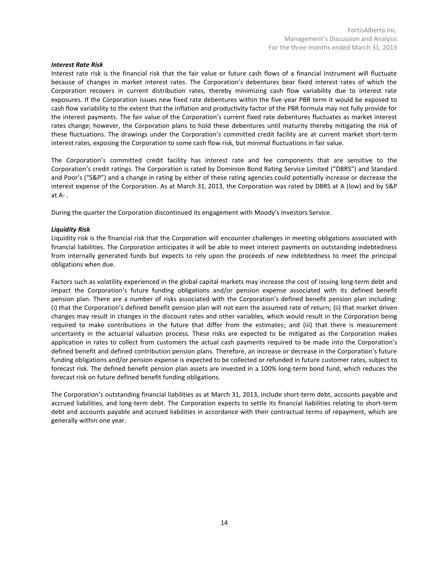#### *Interest Rate Risk*

Interest rate risk is the financial risk that the fair value or future cash flows of a financial instrument will fluctuate because of changes in market interest rates. The Corporation's debentures bear fixed interest rates of which the Corporation recovers in current distribution rates, thereby minimizing cash flow variability due to interest rate exposures. If the Corporation issues new fixed rate debentures within the five-year PBR term it would be exposed to cash flow variability to the extent that the inflation and productivity factor of the PBR formula may not fully provide for the interest payments. The fair value of the Corporation's current fixed rate debentures fluctuates as market interest rates change; however, the Corporation plans to hold these debentures until maturity thereby mitigating the risk of these fluctuations. The drawings under the Corporation's committed credit facility are at current market short-term interest rates, exposing the Corporation to some cash flow risk, but minimal fluctuations in fair value.

The Corporation's committed credit facility has interest rate and fee components that are sensitive to the Corporation's credit ratings. The Corporation is rated by Dominion Bond Rating Service Limited ("DBRS") and Standard and Poor's ("S&P") and a change in rating by either of these rating agencies could potentially increase or decrease the interest expense of the Corporation. As at March 31, 2013, the Corporation was rated by DBRS at A (low) and by S&P at A- .

During the quarter the Corporation discontinued its engagement with Moody's Investors Service.

#### *Liquidity Risk*

Liquidity risk is the financial risk that the Corporation will encounter challenges in meeting obligations associated with financial liabilities. The Corporation anticipates it will be able to meet interest payments on outstanding indebtedness from internally generated funds but expects to rely upon the proceeds of new indebtedness to meet the principal obligations when due.

Factors such as volatility experienced in the global capital markets may increase the cost of issuing long-term debt and impact the Corporation's future funding obligations and/or pension expense associated with its defined benefit pension plan. There are a number of risks associated with the Corporation's defined benefit pension plan including: (i) that the Corporation's defined benefit pension plan will not earn the assumed rate of return; (ii) that market driven changes may result in changes in the discount rates and other variables, which would result in the Corporation being required to make contributions in the future that differ from the estimates; and (iii) that there is measurement uncertainty in the actuarial valuation process. These risks are expected to be mitigated as the Corporation makes application in rates to collect from customers the actual cash payments required to be made into the Corporation's defined benefit and defined contribution pension plans. Therefore, an increase or decrease in the Corporation's future funding obligations and/or pension expense is expected to be collected or refunded in future customer rates, subject to forecast risk. The defined benefit pension plan assets are invested in a 100% long-term bond fund, which reduces the forecast risk on future defined benefit funding obligations.

The Corporation's outstanding financial liabilities as at March 31, 2013, include short-term debt, accounts payable and accrued liabilities, and long-term debt. The Corporation expects to settle its financial liabilities relating to short-term debt and accounts payable and accrued liabilities in accordance with their contractual terms of repayment, which are generally within one year.